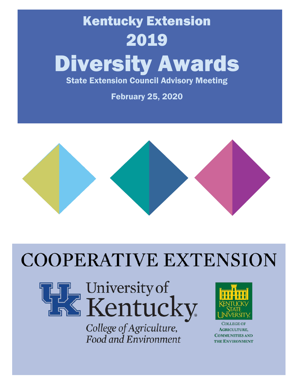# Kentucky Extension 2019 Diversity Awards State Extension Council Advisory Meeting

February 25, 2020



# **COOPERATIVE EXTENSION**



# University of<br>Kentucky

College of Agriculture, Food and Environment



**COMMUNITIES AND** the Environment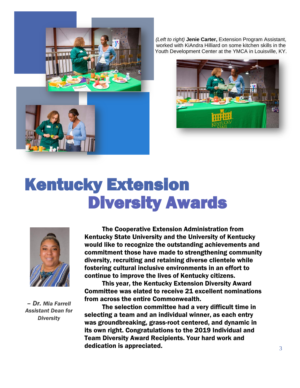

*(Left to right)* **Jenie Carter,** Extension Program Assistant, worked with KiAndra Hilliard on some kitchen skills in the Youth Development Center at the YMCA in Louisville, KY.



# Kentucky Extension Diversity Awards



*– Dr. Mia Farrell Assistant Dean for Diversity* 

The Cooperative Extension Administration from Kentucky State University and the University of Kentucky would like to recognize the outstanding achievements and commitment those have made to strengthening community diversity, recruiting and retaining diverse clientele while fostering cultural inclusive environments in an effort to continue to improve the lives of Kentucky citizens.

This year, the Kentucky Extension Diversity Award Committee was elated to receive 21 excellent nominations from across the entire Commonwealth.

The selection committee had a very difficult time in selecting a team and an individual winner, as each entry was groundbreaking, grass-root centered, and dynamic in its own right. Congratulations to the 2019 Individual and Team Diversity Award Recipients. Your hard work and dedication is appreciated.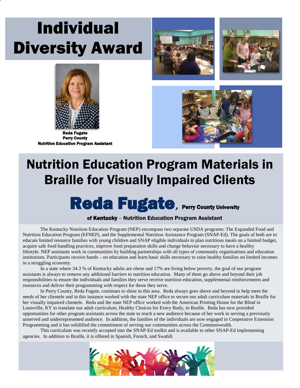# Individual Diversity Award







Perry County Nutrition Education Program Assistant



### Nutrition Education Program Materials in Braille for Visually Impaired Clients

### Reda Fugate, Perry County University

#### of Kentucky – Nutrition Education Program Assistant

The Kentucky Nutrition Education Program (NEP) encompass two separate USDA programs: The Expanded Food and Nutrition Education Program (EFNEP), and the Supplemental Nutrition Assistance Program (SNAP-Ed). The goals of both are to educate limited resource families with young children and SNAP eligible individuals to plan nutritious meals on a limited budget, acquire safe food handling practices, improve food preparation skills and change behavior necessary to have a healthy lifestyle. NEP assistants work in communities by building partnerships with all types of community organizations and education institutions. Participants receive hands – on education and learn basic skills necessary to raise healthy families on limited incomes in a struggling economy.

In a state where 34.3 % of Kentucky adults are obese and 17% are living below poverty, the goal of our program assistants is always to remove any additional barriers to nutrition education. Many of them go above and beyond their job responsibilities to ensure the individuals and families they serve receive nutrition education, supplemental reinforcements and resources and deliver their programming with respect for those they serve.

In Perry County, Reda Fugate, continues to shine in this area. Reda always goes above and beyond to help meet the needs of her clientele and in this instance worked with the state NEP office to secure our adult curriculum materials in Braille for her visually impaired clientele. Reda and the state NEP office worked with the American Printing House for the Blind in Louisville, KY to translate our adult curriculum, Healthy Choices for Every Body, in Braille. Reda has now provided opportunities for other program assistants across the state to reach a new audience because of her work in serving a previously unserved and underrepresented audience. In addition, the families of the individuals are now engaged in Cooperative Extension Programming and it has solidified the commitment of serving our communities across the Commonwealth.

This curriculum was recently accepted into the SNAP-Ed toolkit and is available to other SNAP-Ed implementing agencies. In addition to Braille, it is offered in Spanish, French, and Swahili

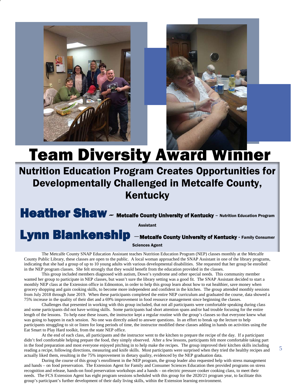



# Team Diversity Award Winner

### Nutrition Education Program Creates Opportunities for Developmentally Challenged in Metcalfe County, Kentucky

Heather Shaw - Metcalfe County University of Kentucky - Nutrition Education Program

Assistant



Sciences Agent

The Metcalfe County SNAP Education Assistant teaches Nutrition Education Program (NEP) classes monthly at the Metcalfe County Public Library, these classes are open to the public. A local woman approached the SNAP Assistant in one of the library programs, indicating that she had a group of up to 10 young adults with various developmental disabilities. She requested that her group be enrolled in the NEP program classes. She felt strongly that they would benefit from the education provided in the classes.

This group included members diagnosed with autism, Down's syndrome and other special needs. This community member wanted her group to participate in NEP classes, but wasn't sure the library setting was a good fit. The SNAP Assistant decided to start a monthly NEP class at the Extension office in Edmonton, in order to help this group learn about how to eat healthier, save money when grocery shopping and gain cooking skills, to become more independent and confident in the kitchen. The group attended monthly sessions from July 2018 through June 2019. When these participants completed the entire NEP curriculum and graduated the course, data showed a 75% increase in the quality of their diet and a 69% improvement in food resource management since beginning the classes.

Challenges that presented in working with this group included, that not all participants were comfortable speaking during class and some participants did not have writing skills. Some participants had short attention spans and/or had trouble focusing for the entire length of the lessons. To help ease these issues, the instructor kept a regular routine with the group's classes so that everyone knew what was going to happen in each session. No one was directly asked to answer questions. In an effort to break up the lecture to help participants struggling to sit or listen for long periods of time, the instructor modified these classes adding in hands on activities using the Eat Smart to Play Hard toolkit, from the state NEP office.

At the end of each class, all participants and the instructor went to the kitchen to prepare the recipe of the day. If a participant didn't feel comfortable helping prepare the food, they simply observed. After a few lessons, participants felt more comfortable taking part in the food preparation and most everyone enjoyed pitching in to help make the recipes. The group improved their kitchen skills including reading a recipe, following directions, measuring and knife skills. Most participants were surprised when they tried the healthy recipes and actually liked them, resulting in the 75% improvement in dietary quality, evidenced by the NEP graduation data.

During the course of this group's enrollment in the NEP program, the group leader also requested help with stress management and hands – on food preservation. The Extension Agent for Family and Consumer Sciences Education then provided programs on stress recognition and release, hands-on food preservation workshops and a hands – on electric pressure cooker cooking class, to meet their needs. The FCS Extension Agent has eight program sessions scheduled with this group for the 2020/21 program year, to facilitate this group's participant's further development of their daily living skills, within the Extension learning environment.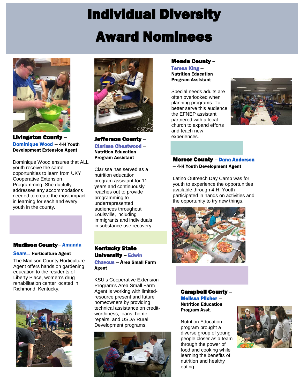# Individual Diversity Award Nominees



Livingston County – Dominique Wood – 4-H Youth Development Extension Agent

Dominique Wood ensures that ALL youth receive the same opportunities to learn from UKY Cooperative Extension Programming. She dutifully addresses any accommodations needed to create the most impact in learning for each and every youth in the county.

#### Madison County– Amanda

#### Sears– Horticulture Agent

The Madison County Horticulture Agent offers hands on gardening education to the residents of Liberty Place, women's drug rehabilitation center located in Richmond, Kentucky.





Jefferson County **–** Clarissa Cheatwood – Nutrition Education Program Assistant

Clarissa has served as a nutrition education program assistant for 11 years and continuously reaches out to provide programming to underrepresented audiences throughout Louisville, including immigrants and individuals in substance use recovery.

#### Kentucky State University **–** Edwin

Chavous – Area Small Farm Agent

KSU's Cooperative Extension Program's Area Small Farm Agent is working with limitedresource present and future homeowners by providing technical assistance on creditworthiness, loans, home repairs, and USDA Rural Development programs.



#### Meade County **–**

Teresa King – Nutrition Education Program Assistant

Special needs adults are often overlooked when planning programs. To better serve this audience the EFNEP assistant partnered with a local church to expand efforts and teach new experiences.



#### Mercer County *–* Dana Anderson

– 4-H Youth Development Agent

Latino Outreach Day Camp was for youth to experience the opportunities available through 4-H. Youth participated in hands on activities and the opportunity to try new things.



Campbell County **–** Melissa Pilcher – Nutrition Education Program Asst.

Nutrition Education program brought a diverse group of young people closer as a team through the power of food and cooking while learning the benefits of nutrition and healthy eating.

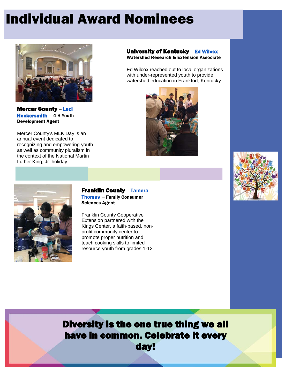### Individual Award Nominees



Mercer County **–** Luci Hockersmith – 4-H Youth Development Agent

Mercer County's MLK Day is an annual event dedicated to recognizing and empowering youth as well as community pluralism in the context of the National Martin Luther King, Jr. holiday.

#### University of Kentucky **–** Ed Wilcox – Watershed Research & Extension Associate

Ed Wilcox reached out to local organizations with under-represented youth to provide watershed education in Frankfort, Kentucky.







#### Franklin County **–** Tamera Thomas – Family Consumer Sciences Agent

Franklin County Cooperative Extension partnered with the Kings Center, a faith-based, nonprofit community center to promote proper nutrition and teach cooking skills to limited resource youth from grades 1-12.

Diversity is the one true thing we all have in common. Celebrate it every day!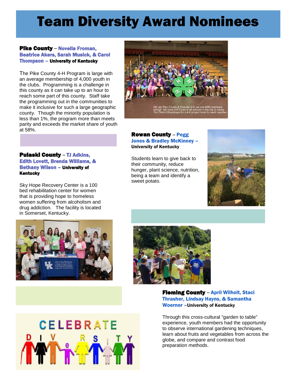### Team Diversity Award Nominees

#### Pike County **–** Novella Froman, Beatrice Akers, Sarah Musick, & Carol Thompson – University of Kentucky

The Pike County 4-H Program is large with an average membership of 4,000 youth in the clubs. Programming is a challenge in this county as it can take up to an hour to reach some part of this county. Staff take the programming out in the communities to make it inclusive for such a large geographic county. Though the minority population is less than 1%, the program more than meets parity and exceeds the market share of youth at 58%.

#### Pulaski County **–** TJ Adkins, Edith Lovett, Brenda Williams, & Bethany Wilson – University of Kentucky

Sky Hope Recovery Center is a 100 bed rehabilitation center for women that is providing hope to homeless women suffering from alcoholism and drug addiction. The facility is located in Somerset, Kentucky.







#### Rowan County **–** Pegg Jones & Bradley McKinney – University of Kentucky

Students learn to give back to their community, reduce hunger, plant science, nutrition, being a team and identify a sweet potato.





Fleming County **–** April Wilhoit, Staci Thrasher, Lindsay Hayns, & Samantha Woerner –University of Kentucky

able<br>able<br>por Through this cross-cultural "garden to table" experience, youth members had the opportunity to observe international gardening techniques, learn about fruits and vegetables from across the globe, and compare and contrast food preparation methods.